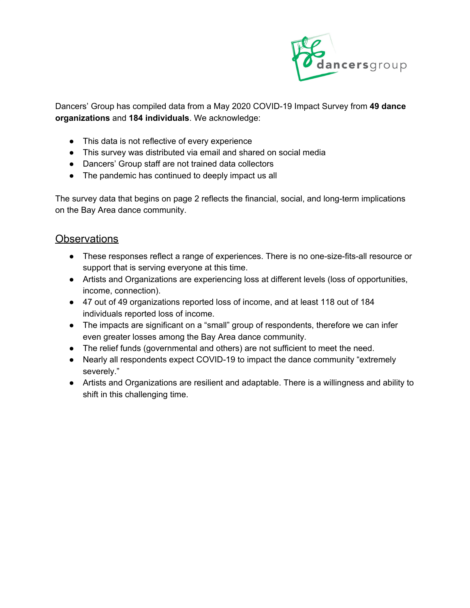

Dancers' Group has compiled data from a May 2020 COVID-19 Impact Survey from **49 dance organizations** and **184 individuals**. We acknowledge:

- This data is not reflective of every experience
- This survey was distributed via email and shared on social media
- Dancers' Group staff are not trained data collectors
- The pandemic has continued to deeply impact us all

The survey data that begins on page 2 reflects the financial, social, and long-term implications on the Bay Area dance community.

### **Observations**

- These responses reflect a range of experiences. There is no one-size-fits-all resource or support that is serving everyone at this time.
- Artists and Organizations are experiencing loss at different levels (loss of opportunities, income, connection).
- 47 out of 49 organizations reported loss of income, and at least 118 out of 184 individuals reported loss of income.
- The impacts are significant on a "small" group of respondents, therefore we can infer even greater losses among the Bay Area dance community.
- The relief funds (governmental and others) are not sufficient to meet the need.
- Nearly all respondents expect COVID-19 to impact the dance community "extremely severely."
- Artists and Organizations are resilient and adaptable. There is a willingness and ability to shift in this challenging time.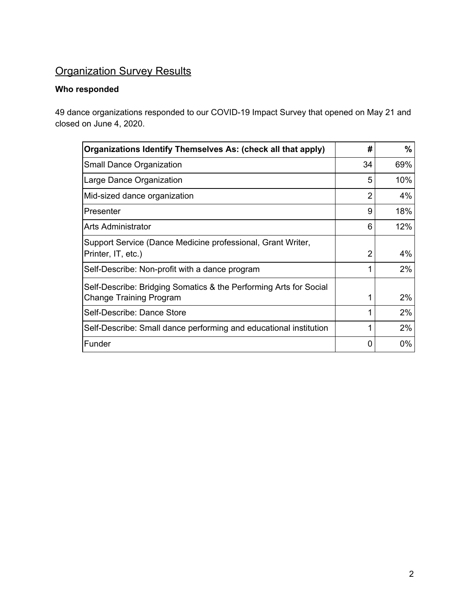# **Organization Survey Results**

#### **Who responded**

49 dance organizations responded to our COVID-19 Impact Survey that opened on May 21 and closed on June 4, 2020.

| Organizations Identify Themselves As: (check all that apply)      | #  | $\%$  |
|-------------------------------------------------------------------|----|-------|
| <b>Small Dance Organization</b>                                   | 34 | 69%   |
| Large Dance Organization                                          | 5  | 10%   |
| Mid-sized dance organization                                      | 2  | 4%    |
| Presenter                                                         | 9  | 18%   |
| Arts Administrator                                                | 6  | 12%   |
| Support Service (Dance Medicine professional, Grant Writer,       |    |       |
| Printer, IT, etc.)                                                | 2  | 4%    |
| Self-Describe: Non-profit with a dance program                    |    | 2%    |
| Self-Describe: Bridging Somatics & the Performing Arts for Social |    |       |
| <b>Change Training Program</b>                                    |    | 2%    |
| Self-Describe: Dance Store                                        |    | $2\%$ |
| Self-Describe: Small dance performing and educational institution |    | $2\%$ |
| Funder                                                            | 0  | $0\%$ |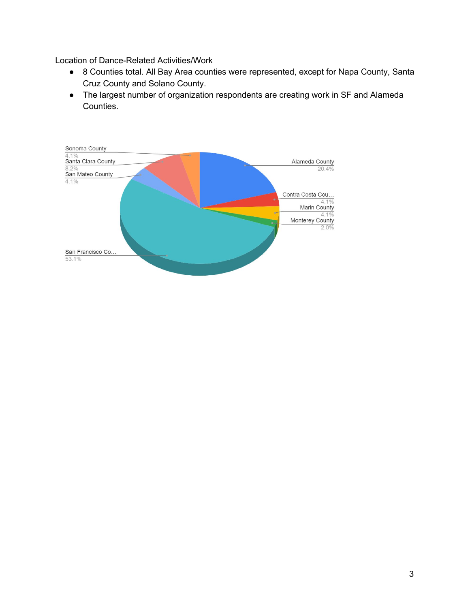Location of Dance-Related Activities/Work

- 8 Counties total. All Bay Area counties were represented, except for Napa County, Santa Cruz County and Solano County.
- The largest number of organization respondents are creating work in SF and Alameda Counties.

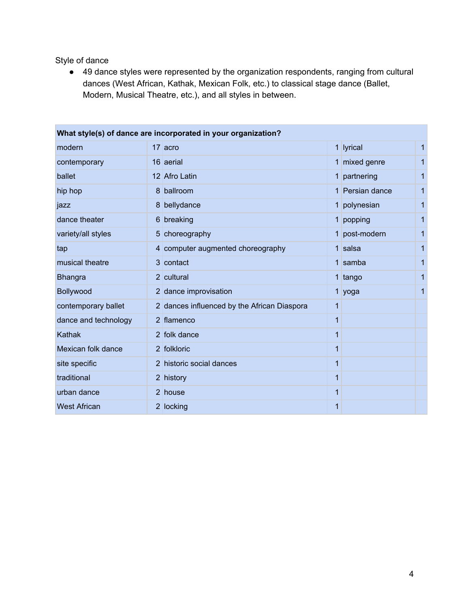Style of dance

● 49 dance styles were represented by the organization respondents, ranging from cultural dances (West African, Kathak, Mexican Folk, etc.) to classical stage dance (Ballet, Modern, Musical Theatre, etc.), and all styles in between.

|                      | What style(s) of dance are incorporated in your organization? |   |                 |              |
|----------------------|---------------------------------------------------------------|---|-----------------|--------------|
| modern               | 17 acro                                                       |   | 1 lyrical       | $\mathbf{1}$ |
| contemporary         | 16 aerial                                                     |   | 1 mixed genre   | $\mathbf{1}$ |
| ballet               | 12 Afro Latin                                                 |   | 1 partnering    | 1            |
| hip hop              | 8 ballroom                                                    |   | 1 Persian dance | 1            |
| jazz                 | 8 bellydance                                                  |   | 1 polynesian    | $\mathbf{1}$ |
| dance theater        | 6 breaking                                                    |   | 1 popping       | 1            |
| variety/all styles   | 5 choreography                                                |   | 1 post-modern   | 1            |
| tap                  | 4 computer augmented choreography                             |   | $1$ salsa       | 1            |
| musical theatre      | 3 contact                                                     |   | 1 samba         | 1            |
| <b>Bhangra</b>       | 2 cultural                                                    |   | 1 tango         | 1            |
| Bollywood            | 2 dance improvisation                                         |   | 1 yoga          | 1            |
| contemporary ballet  | 2 dances influenced by the African Diaspora                   | 1 |                 |              |
| dance and technology | 2 flamenco                                                    | 1 |                 |              |
| Kathak               | 2 folk dance                                                  | 1 |                 |              |
| Mexican folk dance   | 2 folkloric                                                   | 1 |                 |              |
| site specific        | 2 historic social dances                                      | 1 |                 |              |
| traditional          | 2 history                                                     | 1 |                 |              |
| urban dance          | 2 house                                                       | 1 |                 |              |
| <b>West African</b>  | 2 locking                                                     | 1 |                 |              |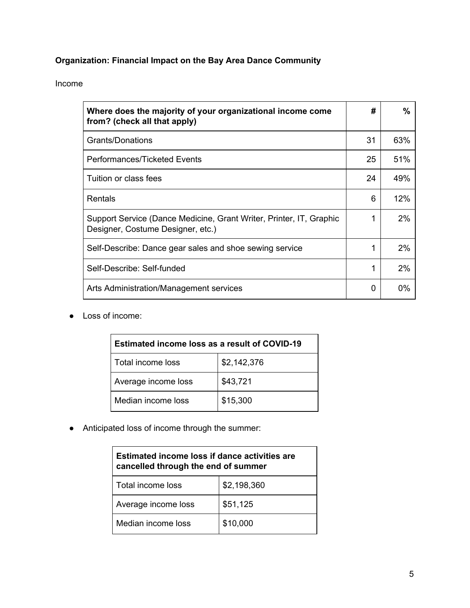#### **Organization: Financial Impact on the Bay Area Dance Community**

#### Income

| Where does the majority of your organizational income come<br>from? (check all that apply)               | #  | $\%$  |
|----------------------------------------------------------------------------------------------------------|----|-------|
| Grants/Donations                                                                                         | 31 | 63%   |
| Performances/Ticketed Events                                                                             | 25 | 51%   |
| Tuition or class fees                                                                                    | 24 | 49%   |
| Rentals                                                                                                  | 6  | 12%   |
| Support Service (Dance Medicine, Grant Writer, Printer, IT, Graphic<br>Designer, Costume Designer, etc.) | 1  | 2%    |
| Self-Describe: Dance gear sales and shoe sewing service                                                  | 1  | $2\%$ |
| Self-Describe: Self-funded                                                                               | 1  | 2%    |
| Arts Administration/Management services                                                                  | 0  | $0\%$ |

● Loss of income:

| <b>Estimated income loss as a result of COVID-19</b> |             |  |
|------------------------------------------------------|-------------|--|
| Total income loss                                    | \$2,142,376 |  |
| Average income loss                                  | \$43,721    |  |
| Median income loss                                   | \$15,300    |  |

● Anticipated loss of income through the summer:

| Estimated income loss if dance activities are<br>cancelled through the end of summer |             |  |
|--------------------------------------------------------------------------------------|-------------|--|
| Total income loss                                                                    | \$2,198,360 |  |
| Average income loss                                                                  | \$51,125    |  |
| Median income loss                                                                   | \$10,000    |  |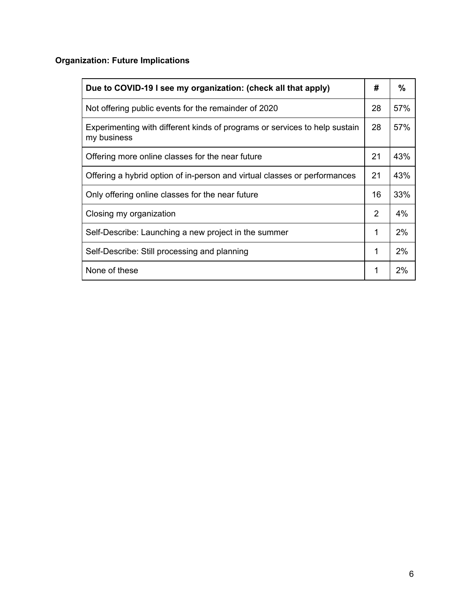### **Organization: Future Implications**

| Due to COVID-19 I see my organization: (check all that apply)                             | #  | %     |
|-------------------------------------------------------------------------------------------|----|-------|
| Not offering public events for the remainder of 2020                                      | 28 | 57%   |
| Experimenting with different kinds of programs or services to help sustain<br>my business | 28 | 57%   |
| Offering more online classes for the near future                                          | 21 | 43%   |
| Offering a hybrid option of in-person and virtual classes or performances                 | 21 | 43%   |
| Only offering online classes for the near future                                          | 16 | 33%   |
| Closing my organization                                                                   | 2  | 4%    |
| Self-Describe: Launching a new project in the summer                                      | 1  | 2%    |
| Self-Describe: Still processing and planning                                              | 1  | $2\%$ |
| None of these                                                                             | 1  | $2\%$ |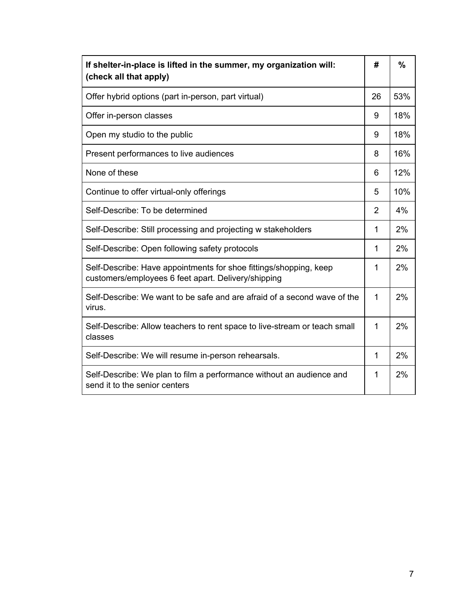| If shelter-in-place is lifted in the summer, my organization will:<br>(check all that apply)                             | #              | $\frac{0}{0}$ |
|--------------------------------------------------------------------------------------------------------------------------|----------------|---------------|
| Offer hybrid options (part in-person, part virtual)                                                                      | 26             | 53%           |
| Offer in-person classes                                                                                                  | 9              | 18%           |
| Open my studio to the public                                                                                             | 9              | 18%           |
| Present performances to live audiences                                                                                   | 8              | 16%           |
| None of these                                                                                                            | 6              | 12%           |
| Continue to offer virtual-only offerings                                                                                 | 5              | 10%           |
| Self-Describe: To be determined                                                                                          | $\overline{2}$ | 4%            |
| Self-Describe: Still processing and projecting w stakeholders                                                            | $\mathbf{1}$   | 2%            |
| Self-Describe: Open following safety protocols                                                                           | 1              | 2%            |
| Self-Describe: Have appointments for shoe fittings/shopping, keep<br>customers/employees 6 feet apart. Delivery/shipping | 1              | 2%            |
| Self-Describe: We want to be safe and are afraid of a second wave of the<br>virus.                                       | $\mathbf{1}$   | 2%            |
| Self-Describe: Allow teachers to rent space to live-stream or teach small<br>classes                                     | $\mathbf 1$    | 2%            |
| Self-Describe: We will resume in-person rehearsals.                                                                      | 1              | 2%            |
| Self-Describe: We plan to film a performance without an audience and<br>send it to the senior centers                    | 1              | 2%            |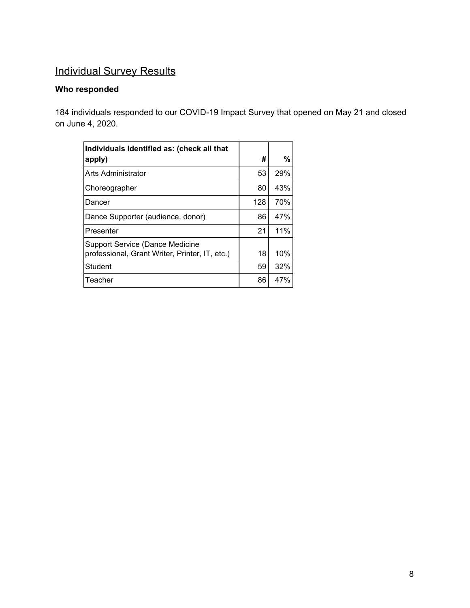# **Individual Survey Results**

#### **Who responded**

184 individuals responded to our COVID-19 Impact Survey that opened on May 21 and closed on June 4, 2020.

| Individuals Identified as: (check all that                                        |     |     |
|-----------------------------------------------------------------------------------|-----|-----|
| apply)                                                                            | #   | %   |
| Arts Administrator                                                                | 53  | 29% |
| Choreographer                                                                     | 80  | 43% |
| Dancer                                                                            | 128 | 70% |
| Dance Supporter (audience, donor)                                                 | 86  | 47% |
| Presenter                                                                         | 21  | 11% |
| Support Service (Dance Medicine<br>professional, Grant Writer, Printer, IT, etc.) | 18  | 10% |
| Student                                                                           | 59  | 32% |
| Teacher                                                                           | 86  | 47% |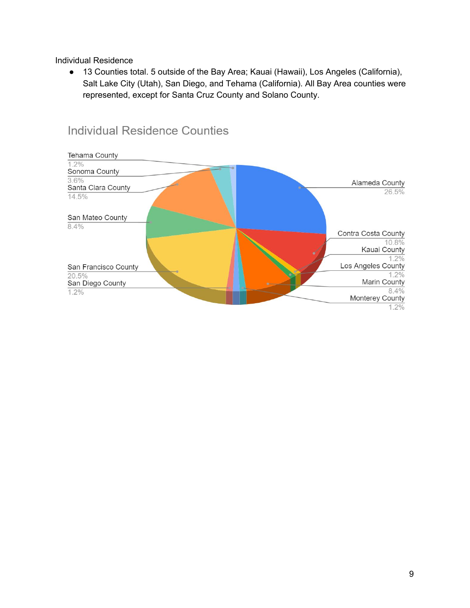Individual Residence

● 13 Counties total. 5 outside of the Bay Area; Kauai (Hawaii), Los Angeles (California), Salt Lake City (Utah), San Diego, and Tehama (California). All Bay Area counties were represented, except for Santa Cruz County and Solano County.



## **Individual Residence Counties**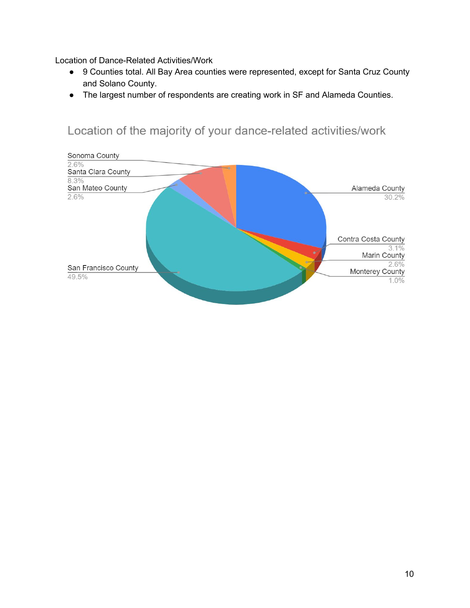Location of Dance-Related Activities/Work

- 9 Counties total. All Bay Area counties were represented, except for Santa Cruz County and Solano County.
- The largest number of respondents are creating work in SF and Alameda Counties.

## Location of the majority of your dance-related activities/work

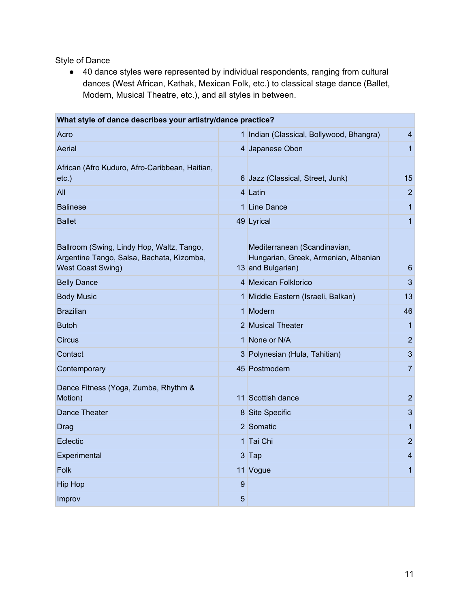Style of Dance

● 40 dance styles were represented by individual respondents, ranging from cultural dances (West African, Kathak, Mexican Folk, etc.) to classical stage dance (Ballet, Modern, Musical Theatre, etc.), and all styles in between.

| What style of dance describes your artistry/dance practice?                                                        |   |                                                                                           |                |  |  |
|--------------------------------------------------------------------------------------------------------------------|---|-------------------------------------------------------------------------------------------|----------------|--|--|
| Acro                                                                                                               |   | 1 Indian (Classical, Bollywood, Bhangra)                                                  | 4              |  |  |
| Aerial                                                                                                             |   | 4 Japanese Obon                                                                           | 1              |  |  |
| African (Afro Kuduro, Afro-Caribbean, Haitian,<br>$etc.$ )                                                         |   | 6 Jazz (Classical, Street, Junk)                                                          | 15             |  |  |
| All                                                                                                                |   | 4 Latin                                                                                   | $\overline{2}$ |  |  |
| <b>Balinese</b>                                                                                                    |   | 1 Line Dance                                                                              | 1              |  |  |
| <b>Ballet</b>                                                                                                      |   | 49 Lyrical                                                                                | 1              |  |  |
| Ballroom (Swing, Lindy Hop, Waltz, Tango,<br>Argentine Tango, Salsa, Bachata, Kizomba,<br><b>West Coast Swing)</b> |   | Mediterranean (Scandinavian,<br>Hungarian, Greek, Armenian, Albanian<br>13 and Bulgarian) | 6              |  |  |
| <b>Belly Dance</b>                                                                                                 |   | 4 Mexican Folklorico                                                                      | 3              |  |  |
| <b>Body Music</b>                                                                                                  |   | 1 Middle Eastern (Israeli, Balkan)                                                        | 13             |  |  |
| <b>Brazilian</b>                                                                                                   |   | 1 Modern                                                                                  | 46             |  |  |
| <b>Butoh</b>                                                                                                       |   | 2 Musical Theater                                                                         | 1              |  |  |
| <b>Circus</b>                                                                                                      |   | 1 None or N/A                                                                             | $\overline{2}$ |  |  |
| Contact                                                                                                            |   | 3 Polynesian (Hula, Tahitian)                                                             | 3              |  |  |
| Contemporary                                                                                                       |   | 45 Postmodern                                                                             | $\overline{7}$ |  |  |
| Dance Fitness (Yoga, Zumba, Rhythm &<br>Motion)                                                                    |   | 11 Scottish dance                                                                         | 2              |  |  |
| Dance Theater                                                                                                      |   | 8 Site Specific                                                                           | 3              |  |  |
| Drag                                                                                                               |   | 2 Somatic                                                                                 | 1              |  |  |
| Eclectic                                                                                                           |   | 1 Tai Chi                                                                                 | 2              |  |  |
| Experimental                                                                                                       |   | $3$ Tap                                                                                   | 4              |  |  |
| Folk                                                                                                               |   | 11 Vogue                                                                                  | 1              |  |  |
| <b>Hip Hop</b>                                                                                                     | 9 |                                                                                           |                |  |  |
| Improv                                                                                                             | 5 |                                                                                           |                |  |  |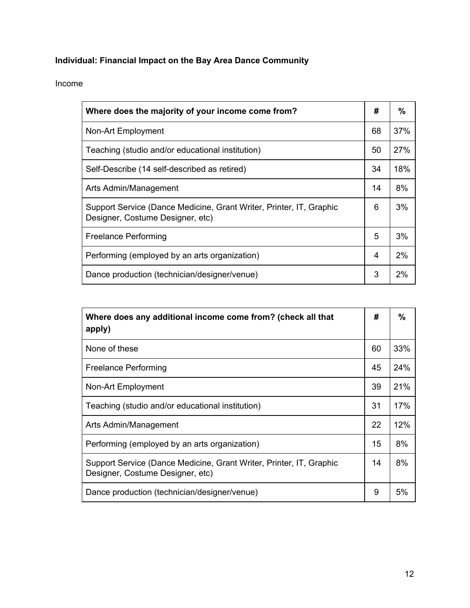### **Individual: Financial Impact on the Bay Area Dance Community**

#### Income

| Where does the majority of your income come from?                                                       |    | $\%$ |
|---------------------------------------------------------------------------------------------------------|----|------|
| Non-Art Employment                                                                                      | 68 | 37%  |
| Teaching (studio and/or educational institution)                                                        | 50 | 27%  |
| Self-Describe (14 self-described as retired)                                                            | 34 | 18%  |
| Arts Admin/Management                                                                                   | 14 | 8%   |
| Support Service (Dance Medicine, Grant Writer, Printer, IT, Graphic<br>Designer, Costume Designer, etc) | 6  | 3%   |
| <b>Freelance Performing</b>                                                                             | 5  | 3%   |
| Performing (employed by an arts organization)                                                           | 4  | 2%   |
| Dance production (technician/designer/venue)                                                            | 3  | 2%   |

| Where does any additional income come from? (check all that<br>apply)                                   | #  | %   |
|---------------------------------------------------------------------------------------------------------|----|-----|
| None of these                                                                                           | 60 | 33% |
| Freelance Performing                                                                                    | 45 | 24% |
| Non-Art Employment                                                                                      | 39 | 21% |
| Teaching (studio and/or educational institution)                                                        | 31 | 17% |
| Arts Admin/Management                                                                                   | 22 | 12% |
| Performing (employed by an arts organization)                                                           | 15 | 8%  |
| Support Service (Dance Medicine, Grant Writer, Printer, IT, Graphic<br>Designer, Costume Designer, etc) | 14 | 8%  |
| Dance production (technician/designer/venue)                                                            | 9  | 5%  |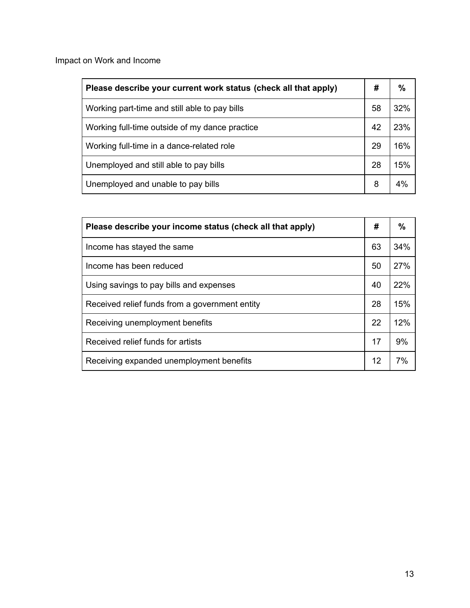Impact on Work and Income

| Please describe your current work status (check all that apply) |    | %   |
|-----------------------------------------------------------------|----|-----|
| Working part-time and still able to pay bills                   | 58 | 32% |
| Working full-time outside of my dance practice                  | 42 | 23% |
| Working full-time in a dance-related role                       | 29 | 16% |
| Unemployed and still able to pay bills                          | 28 | 15% |
| Unemployed and unable to pay bills                              | 8  | 4%  |

| Please describe your income status (check all that apply) | #  | $\%$ |
|-----------------------------------------------------------|----|------|
| Income has stayed the same.                               | 63 | 34%  |
| Income has been reduced                                   | 50 | 27%  |
| Using savings to pay bills and expenses                   | 40 | 22%  |
| Received relief funds from a government entity            | 28 | 15%  |
| Receiving unemployment benefits                           | 22 | 12%  |
| Received relief funds for artists                         | 17 | 9%   |
| Receiving expanded unemployment benefits                  | 12 | 7%   |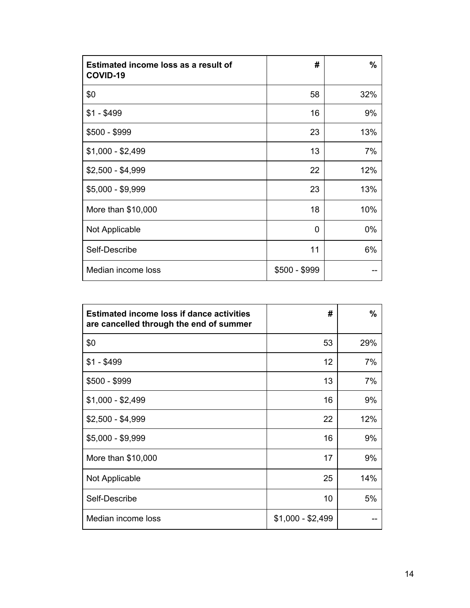| Estimated income loss as a result of<br>COVID-19 | #             | $\%$  |
|--------------------------------------------------|---------------|-------|
| \$0                                              | 58            | 32%   |
| $$1 - $499$                                      | 16            | 9%    |
| \$500 - \$999                                    | 23            | 13%   |
| $$1,000 - $2,499$                                | 13            | 7%    |
| $$2,500 - $4,999$                                | 22            | 12%   |
| \$5,000 - \$9,999                                | 23            | 13%   |
| More than \$10,000                               | 18            | 10%   |
| Not Applicable                                   | 0             | $0\%$ |
| Self-Describe                                    | 11            | 6%    |
| Median income loss                               | \$500 - \$999 |       |

| <b>Estimated income loss if dance activities</b><br>are cancelled through the end of summer | #                 | $\%$ |
|---------------------------------------------------------------------------------------------|-------------------|------|
| \$0                                                                                         | 53                | 29%  |
| $$1 - $499$                                                                                 | 12                | 7%   |
| $$500 - $999$                                                                               | 13                | 7%   |
| $$1,000 - $2,499$                                                                           | 16                | 9%   |
| $$2,500 - $4,999$                                                                           | 22                | 12%  |
| \$5,000 - \$9,999                                                                           | 16                | 9%   |
| More than \$10,000                                                                          | 17                | 9%   |
| Not Applicable                                                                              | 25                | 14%  |
| Self-Describe                                                                               | 10                | 5%   |
| Median income loss                                                                          | $$1,000 - $2,499$ |      |